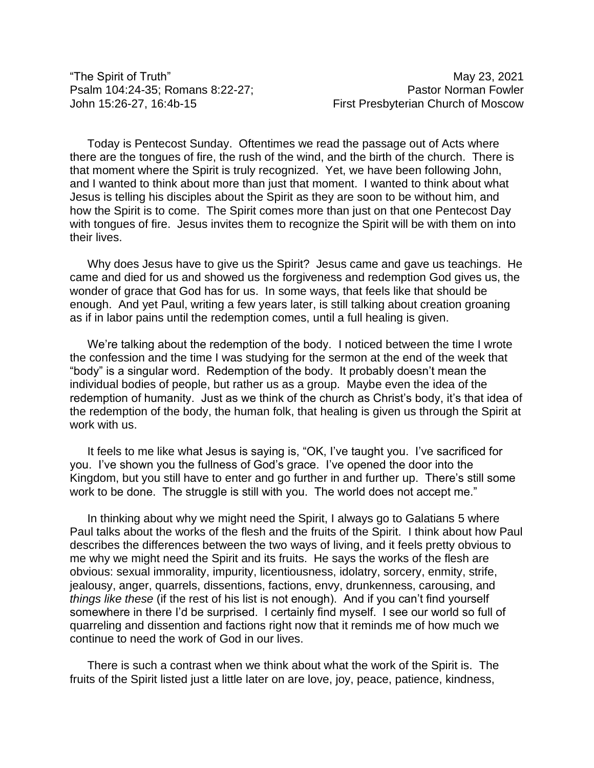"The Spirit of Truth" May 23, 2021

Psalm 104:24-35; Romans 8:22-27; Provident State Pastor Norman Fowler John 15:26-27, 16:4b-15 First Presbyterian Church of Moscow

Today is Pentecost Sunday. Oftentimes we read the passage out of Acts where there are the tongues of fire, the rush of the wind, and the birth of the church. There is that moment where the Spirit is truly recognized. Yet, we have been following John, and I wanted to think about more than just that moment. I wanted to think about what Jesus is telling his disciples about the Spirit as they are soon to be without him, and how the Spirit is to come. The Spirit comes more than just on that one Pentecost Day with tongues of fire. Jesus invites them to recognize the Spirit will be with them on into their lives.

Why does Jesus have to give us the Spirit? Jesus came and gave us teachings. He came and died for us and showed us the forgiveness and redemption God gives us, the wonder of grace that God has for us. In some ways, that feels like that should be enough. And yet Paul, writing a few years later, is still talking about creation groaning as if in labor pains until the redemption comes, until a full healing is given.

We're talking about the redemption of the body. I noticed between the time I wrote the confession and the time I was studying for the sermon at the end of the week that "body" is a singular word. Redemption of the body. It probably doesn't mean the individual bodies of people, but rather us as a group. Maybe even the idea of the redemption of humanity. Just as we think of the church as Christ's body, it's that idea of the redemption of the body, the human folk, that healing is given us through the Spirit at work with us.

It feels to me like what Jesus is saying is, "OK, I've taught you. I've sacrificed for you. I've shown you the fullness of God's grace. I've opened the door into the Kingdom, but you still have to enter and go further in and further up. There's still some work to be done. The struggle is still with you. The world does not accept me."

In thinking about why we might need the Spirit, I always go to Galatians 5 where Paul talks about the works of the flesh and the fruits of the Spirit. I think about how Paul describes the differences between the two ways of living, and it feels pretty obvious to me why we might need the Spirit and its fruits. He says the works of the flesh are obvious: sexual immorality, impurity, licentiousness, idolatry, sorcery, enmity, strife, jealousy, anger, quarrels, dissentions, factions, envy, drunkenness, carousing, and *things like these* (if the rest of his list is not enough). And if you can't find yourself somewhere in there I'd be surprised. I certainly find myself. I see our world so full of quarreling and dissention and factions right now that it reminds me of how much we continue to need the work of God in our lives.

There is such a contrast when we think about what the work of the Spirit is. The fruits of the Spirit listed just a little later on are love, joy, peace, patience, kindness,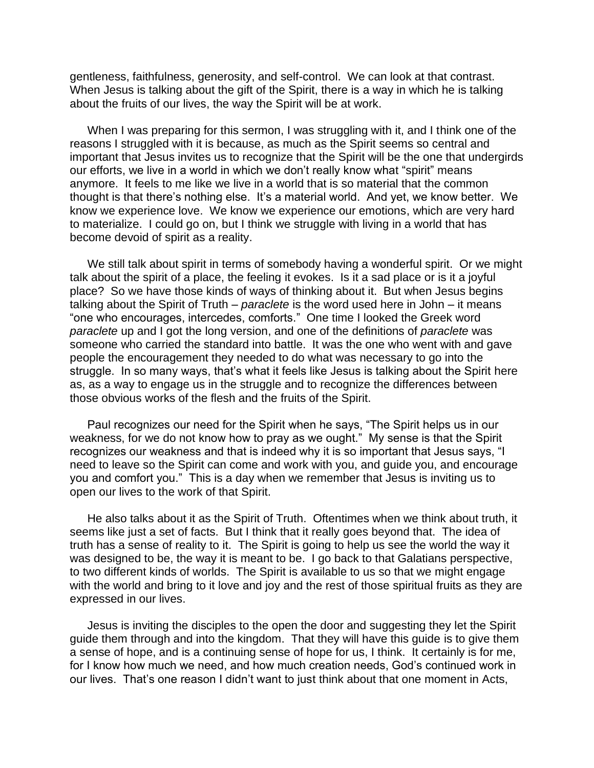gentleness, faithfulness, generosity, and self-control. We can look at that contrast. When Jesus is talking about the gift of the Spirit, there is a way in which he is talking about the fruits of our lives, the way the Spirit will be at work.

When I was preparing for this sermon, I was struggling with it, and I think one of the reasons I struggled with it is because, as much as the Spirit seems so central and important that Jesus invites us to recognize that the Spirit will be the one that undergirds our efforts, we live in a world in which we don't really know what "spirit" means anymore. It feels to me like we live in a world that is so material that the common thought is that there's nothing else. It's a material world. And yet, we know better. We know we experience love. We know we experience our emotions, which are very hard to materialize. I could go on, but I think we struggle with living in a world that has become devoid of spirit as a reality.

We still talk about spirit in terms of somebody having a wonderful spirit. Or we might talk about the spirit of a place, the feeling it evokes. Is it a sad place or is it a joyful place? So we have those kinds of ways of thinking about it. But when Jesus begins talking about the Spirit of Truth – *paraclete* is the word used here in John – it means "one who encourages, intercedes, comforts." One time I looked the Greek word *paraclete* up and I got the long version, and one of the definitions of *paraclete* was someone who carried the standard into battle. It was the one who went with and gave people the encouragement they needed to do what was necessary to go into the struggle. In so many ways, that's what it feels like Jesus is talking about the Spirit here as, as a way to engage us in the struggle and to recognize the differences between those obvious works of the flesh and the fruits of the Spirit.

Paul recognizes our need for the Spirit when he says, "The Spirit helps us in our weakness, for we do not know how to pray as we ought." My sense is that the Spirit recognizes our weakness and that is indeed why it is so important that Jesus says, "I need to leave so the Spirit can come and work with you, and guide you, and encourage you and comfort you." This is a day when we remember that Jesus is inviting us to open our lives to the work of that Spirit.

He also talks about it as the Spirit of Truth. Oftentimes when we think about truth, it seems like just a set of facts. But I think that it really goes beyond that. The idea of truth has a sense of reality to it. The Spirit is going to help us see the world the way it was designed to be, the way it is meant to be. I go back to that Galatians perspective, to two different kinds of worlds. The Spirit is available to us so that we might engage with the world and bring to it love and joy and the rest of those spiritual fruits as they are expressed in our lives.

Jesus is inviting the disciples to the open the door and suggesting they let the Spirit guide them through and into the kingdom. That they will have this guide is to give them a sense of hope, and is a continuing sense of hope for us, I think. It certainly is for me, for I know how much we need, and how much creation needs, God's continued work in our lives. That's one reason I didn't want to just think about that one moment in Acts,